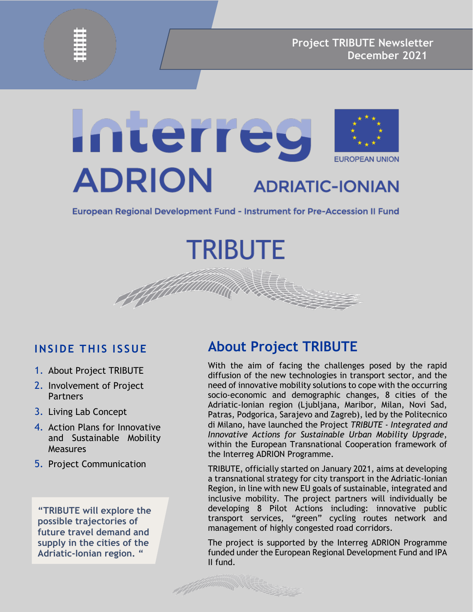

# Interreg **EUROPEAN UNION ADRION ADRIATIC-IONIAN**

European Regional Development Fund - Instrument for Pre-Accession II Fund

**TRIBUTE** 

**INSIDE THIS ISSUE**

- 1. About Project TRIBUTE
- 2. Involvement of Project Partners
- 3. Living Lab Concept
- 4. Action Plans for Innovative and Sustainable Mobility **Measures**
- 5. Project Communication

**"TRIBUTE will explore the possible trajectories of future travel demand and supply in the cities of the Adriatic-Ionian region. "**

### **About Project TRIBUTE**

With the aim of facing the challenges posed by the rapid diffusion of the new technologies in transport sector, and the need of innovative mobility solutions to cope with the occurring socio-economic and demographic changes, 8 cities of the Adriatic-Ionian region (Ljubljana, Maribor, Milan, Novi Sad, Patras, Podgorica, Sarajevo and Zagreb), led by the Politecnico di Milano, have launched the Project *TRIBUTE - Integrated and Innovative Actions for Sustainable Urban Mobility Upgrade*, within the European Transnational Cooperation framework of the Interreg ADRION Programme.

TRIBUTE, officially started on January 2021, aims at developing a transnational strategy for city transport in the Adriatic-Ionian Region, in line with new EU goals of sustainable, integrated and inclusive mobility. The project partners will individually be developing 8 Pilot Actions including: innovative public transport services, "green" cycling routes network and management of highly congested road corridors.

The project is supported by the Interreg ADRION Programme funded under the European Regional Development Fund and IPA II fund.

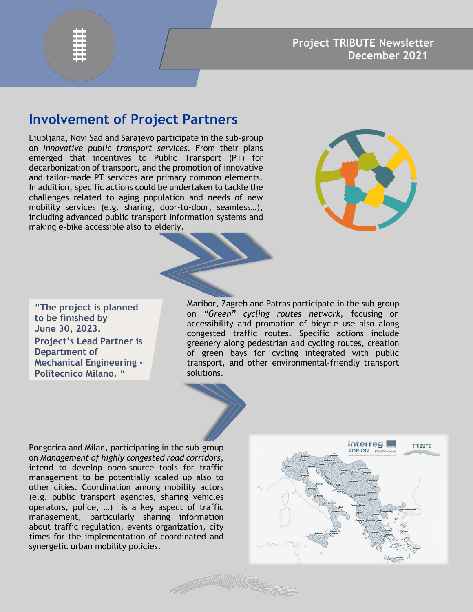#### **Involvement of Project Partners**

Ljubljana, Novi Sad and Sarajevo participate in the sub-group on *Innovative public transport services*. From their plans emerged that incentives to Public Transport (PT) for decarbonization of transport, and the promotion of innovative and tailor-made PT services are primary common elements. In addition, specific actions could be undertaken to tackle the challenges related to aging population and needs of new mobility services (e.g. sharing, door-to-door, seamless…), including advanced public transport information systems and making e-bike accessible also to elderly.



**"The project is planned to be finished by June 30, 2023. Project's Lead Partner is Department of Mechanical Engineering - Politecnico Milano. "**

Maribor, Zagreb and Patras participate in the sub-group on *"Green" cycling routes network*, focusing on accessibility and promotion of bicycle use also along congested traffic routes. Specific actions include greenery along pedestrian and cycling routes, creation of green bays for cycling integrated with public transport, and other environmental-friendly transport solutions.

Podgorica and Milan, participating in the sub-group on *Management of highly congested road corridors*, intend to develop open-source tools for traffic management to be potentially scaled up also to other cities. Coordination among mobility actors (e.g. public transport agencies, sharing vehicles operators, police, …) is a key aspect of traffic management, particularly sharing information about traffic regulation, events organization, city times for the implementation of coordinated and synergetic urban mobility policies.

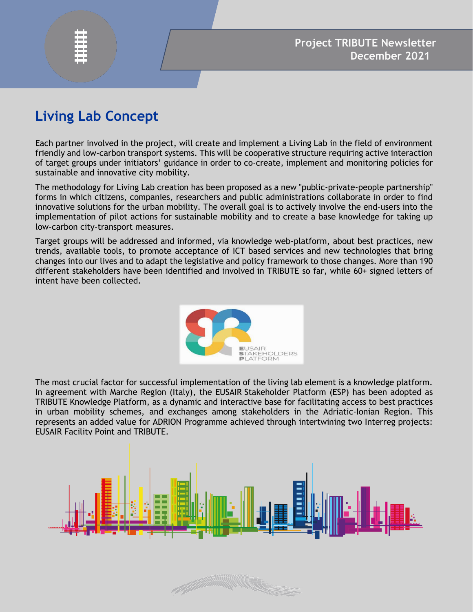# **Living Lab Concept**

Each partner involved in the project, will create and implement a Living Lab in the field of environment friendly and low-carbon transport systems. This will be cooperative structure requiring active interaction of target groups under initiators' guidance in order to co-create, implement and monitoring policies for sustainable and innovative city mobility.

The methodology for Living Lab creation has been proposed as a new "public-private-people partnership" forms in which citizens, companies, researchers and public administrations collaborate in order to find innovative solutions for the urban mobility. The overall goal is to actively involve the end-users into the implementation of pilot actions for sustainable mobility and to create a base knowledge for taking up low-carbon city-transport measures.

Target groups will be addressed and informed, via knowledge web-platform, about best practices, new trends, available tools, to promote acceptance of ICT based services and new technologies that bring changes into our lives and to adapt the legislative and policy framework to those changes. More than 190 different stakeholders have been identified and involved in TRIBUTE so far, while 60+ signed letters of intent have been collected.



The most crucial factor for successful implementation of the living lab element is a knowledge platform. In agreement with Marche Region (Italy), the EUSAIR Stakeholder Platform (ESP) has been adopted as TRIBUTE Knowledge Platform, as a dynamic and interactive base for facilitating access to best practices in urban mobility schemes, and exchanges among stakeholders in the Adriatic-Ionian Region. This represents an added value for ADRION Programme achieved through intertwining two Interreg projects: EUSAIR Facility Point and TRIBUTE.



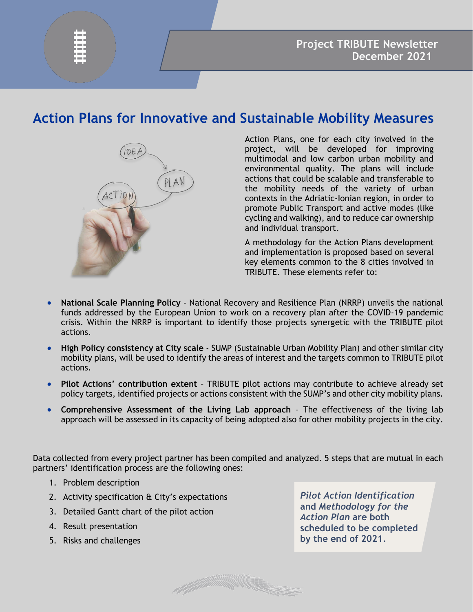## **Action Plans for Innovative and Sustainable Mobility Measures**



Action Plans, one for each city involved in the project, will be developed for improving multimodal and low carbon urban mobility and environmental quality. The plans will include actions that could be scalable and transferable to the mobility needs of the variety of urban contexts in the Adriatic-Ionian region, in order to promote Public Transport and active modes (like cycling and walking), and to reduce car ownership and individual transport.

A methodology for the Action Plans development and implementation is proposed based on several key elements common to the 8 cities involved in TRIBUTE. These elements refer to:

- **National Scale Planning Policy** National Recovery and Resilience Plan (NRRP) unveils the national funds addressed by the European Union to work on a recovery plan after the COVID-19 pandemic crisis. Within the NRRP is important to identify those projects synergetic with the TRIBUTE pilot actions.
- **High Policy consistency at City scale** SUMP (Sustainable Urban Mobility Plan) and other similar city mobility plans, will be used to identify the areas of interest and the targets common to TRIBUTE pilot actions.
- **Pilot Actions' contribution extent** TRIBUTE pilot actions may contribute to achieve already set policy targets, identified projects or actions consistent with the SUMP's and other city mobility plans.
- **Comprehensive Assessment of the Living Lab approach** The effectiveness of the living lab approach will be assessed in its capacity of being adopted also for other mobility projects in the city.

Data collected from every project partner has been compiled and analyzed. 5 steps that are mutual in each partners' identification process are the following ones:

- 1. Problem description
- 2. Activity specification & City's expectations
- 3. Detailed Gantt chart of the pilot action
- 4. Result presentation
- 5. Risks and challenges

*Pilot Action Identification* **and** *Methodology for the Action Plan* **are both scheduled to be completed by the end of 2021.**